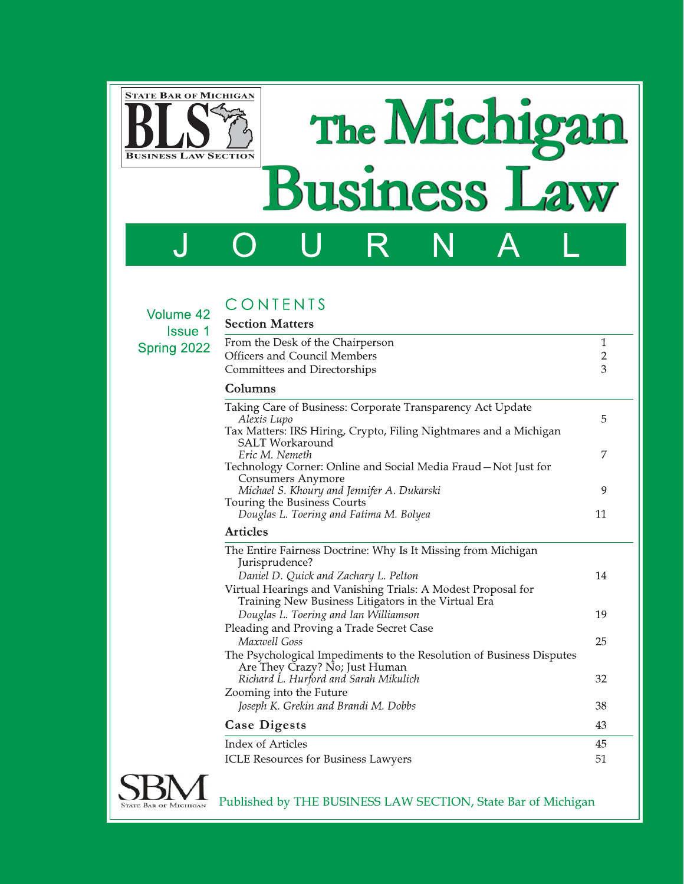

**The** e Michig Business Law

J O U K N A L

## CONTENTS Profiles Mottore

|                               | CONTENTS                                                                |                              |                                                                                                                                                              |  |  |                 |  |
|-------------------------------|-------------------------------------------------------------------------|------------------------------|--------------------------------------------------------------------------------------------------------------------------------------------------------------|--|--|-----------------|--|
| Volume 42                     | <b>Section Matters</b>                                                  |                              |                                                                                                                                                              |  |  |                 |  |
| <b>Issue 1</b><br>Spring 2022 | From the Desk of the Chairperson<br><b>Officers and Council Members</b> |                              |                                                                                                                                                              |  |  |                 |  |
|                               |                                                                         | Committees and Directorships |                                                                                                                                                              |  |  | $\sqrt{2}$<br>3 |  |
|                               | Columns                                                                 |                              |                                                                                                                                                              |  |  |                 |  |
|                               | Alexis Lupo                                                             | <b>SALT</b> Workaround       | Taking Care of Business: Corporate Transparency Act Update<br>Tax Matters: IRS Hiring, Crypto, Filing Nightmares and a Michigan                              |  |  | 5               |  |
|                               | Eric M. Nemeth                                                          | Consumers Anymore            | Technology Corner: Online and Social Media Fraud - Not Just for                                                                                              |  |  | 7               |  |
|                               |                                                                         |                              | Michael S. Khoury and Jennifer A. Dukarski                                                                                                                   |  |  | 9               |  |
|                               |                                                                         | Touring the Business Courts  | Douglas L. Toering and Fatima M. Bolyea                                                                                                                      |  |  | 11              |  |
|                               | <b>Articles</b>                                                         |                              |                                                                                                                                                              |  |  |                 |  |
|                               | Jurisprudence?                                                          |                              | The Entire Fairness Doctrine: Why Is It Missing from Michigan                                                                                                |  |  |                 |  |
|                               |                                                                         |                              | Daniel D. Quick and Zachary L. Pelton<br>Virtual Hearings and Vanishing Trials: A Modest Proposal for<br>Training New Business Litigators in the Virtual Era |  |  | 14              |  |
|                               |                                                                         |                              | Douglas L. Toering and Ian Williamson<br>Pleading and Proving a Trade Secret Case                                                                            |  |  | 19              |  |
|                               | Maxwell Goss                                                            |                              | The Psychological Impediments to the Resolution of Business Disputes                                                                                         |  |  | 25              |  |
|                               |                                                                         |                              | Are They Crazy? No; Just Human<br>Richard L. Hurford and Sarah Mikulich                                                                                      |  |  | 32              |  |
|                               |                                                                         | Zooming into the Future      | Joseph K. Grekin and Brandi M. Dobbs                                                                                                                         |  |  | 38              |  |
|                               | <b>Case Digests</b>                                                     |                              |                                                                                                                                                              |  |  | 43              |  |
|                               | Index of Articles                                                       |                              |                                                                                                                                                              |  |  | 45              |  |
|                               |                                                                         |                              | <b>ICLE Resources for Business Lawyers</b>                                                                                                                   |  |  | 51              |  |
|                               |                                                                         |                              | Published by THE BUSINESS LAW SECTION, State Bar of Michigan                                                                                                 |  |  |                 |  |
|                               |                                                                         |                              |                                                                                                                                                              |  |  |                 |  |
|                               |                                                                         |                              |                                                                                                                                                              |  |  |                 |  |
|                               |                                                                         |                              |                                                                                                                                                              |  |  |                 |  |

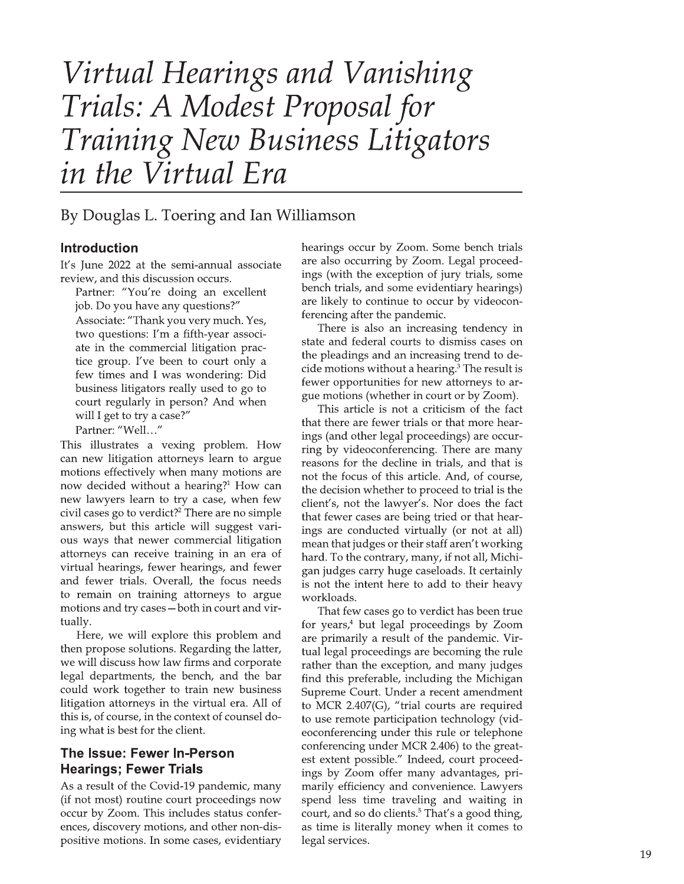# Virtual Hearings and Vanishing Trials: A Modest Proposal for Training New Business Litigators in the Virtual Era

# By Douglas L. Toering and Ian Williamson

## **Introduction**

It's June 2022 at the semi-annual associate review, and this discussion occurs.

Partner: "You're doing an excellent job. Do you have any questions?"

Associate: "Thank you very much. Yes, two questions: I'm a fifth-year associate in the commercial litigation practice group. I've been to court only a few times and I was wondering: Did business litigators really used to go to court regularly in person? And when will I get to try a case?"

Partner: "Well..."

This illustrates a vexing problem. How can new litigation attorneys learn to argue motions effectively when many motions are now decided without a hearing?<sup>1</sup> How can new lawyers learn to try a case, when few civil cases go to verdict?<sup>2</sup> There are no simple answers, but this article will suggest various ways that newer commercial litigation attorneys can receive training in an era of virtual hearings, fewer hearings, and fewer and fewer trials. Overall, the focus needs to remain on training attorneys to argue motions and try cases - both in court and virtually.

Here, we will explore this problem and then propose solutions. Regarding the latter, we will discuss how law firms and corporate legal departments, the bench, and the bar could work together to train new business litigation attorneys in the virtual era. All of this is, of course, in the context of counsel doing what is best for the client.

## The Issue: Fewer In-Person **Hearings: Fewer Trials**

As a result of the Covid-19 pandemic, many (if not most) routine court proceedings now occur by Zoom. This includes status conferences, discovery motions, and other non-dispositive motions. In some cases, evidentiary hearings occur by Zoom. Some bench trials are also occurring by Zoom. Legal proceedings (with the exception of jury trials, some bench trials, and some evidentiary hearings) are likely to continue to occur by videoconferencing after the pandemic.

There is also an increasing tendency in state and federal courts to dismiss cases on the pleadings and an increasing trend to decide motions without a hearing.<sup>3</sup> The result is fewer opportunities for new attorneys to argue motions (whether in court or by Zoom).

This article is not a criticism of the fact that there are fewer trials or that more hearings (and other legal proceedings) are occurring by videoconferencing. There are many reasons for the decline in trials, and that is not the focus of this article. And, of course, the decision whether to proceed to trial is the client's, not the lawyer's. Nor does the fact that fewer cases are being tried or that hearings are conducted virtually (or not at all) mean that judges or their staff aren't working hard. To the contrary, many, if not all, Michigan judges carry huge caseloads. It certainly is not the intent here to add to their heavy workloads.

That few cases go to verdict has been true for years,<sup>4</sup> but legal proceedings by Zoom are primarily a result of the pandemic. Virtual legal proceedings are becoming the rule rather than the exception, and many judges find this preferable, including the Michigan Supreme Court. Under a recent amendment to MCR 2.407(G), "trial courts are required to use remote participation technology (videoconferencing under this rule or telephone conferencing under MCR 2.406) to the greatest extent possible." Indeed, court proceedings by Zoom offer many advantages, primarily efficiency and convenience. Lawyers spend less time traveling and waiting in court, and so do clients.<sup>5</sup> That's a good thing, as time is literally money when it comes to legal services.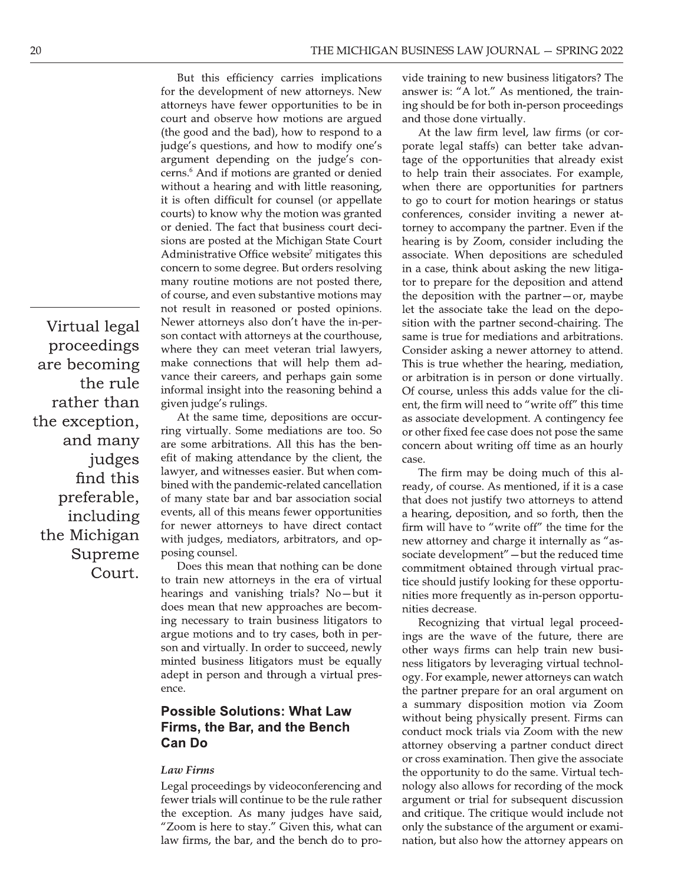Virtual legal proceedings are becoming the rule rather than the exception, and many judges find this preferable, including the Michigan Supreme Court.

But this efficiency carries implications for the development of new attorneys. New attorneys have fewer opportunities to be in court and observe how motions are argued (the good and the bad), how to respond to a judge's questions, and how to modify one's argument depending on the judge's concerns.<sup>6</sup> And if motions are granted or denied without a hearing and with little reasoning, it is often difficult for counsel (or appellate courts) to know why the motion was granted or denied. The fact that business court decisions are posted at the Michigan State Court Administrative Office website<sup>7</sup> mitigates this concern to some degree. But orders resolving many routine motions are not posted there, of course, and even substantive motions may not result in reasoned or posted opinions. Newer attorneys also don't have the in-person contact with attorneys at the courthouse, where they can meet veteran trial lawyers, make connections that will help them advance their careers, and perhaps gain some informal insight into the reasoning behind a given judge's rulings.

At the same time, depositions are occurring virtually. Some mediations are too. So are some arbitrations. All this has the benefit of making attendance by the client, the lawyer, and witnesses easier. But when combined with the pandemic-related cancellation of many state bar and bar association social events, all of this means fewer opportunities for newer attorneys to have direct contact with judges, mediators, arbitrators, and opposing counsel.

Does this mean that nothing can be done to train new attorneys in the era of virtual hearings and vanishing trials? No-but it does mean that new approaches are becoming necessary to train business litigators to argue motions and to try cases, both in person and virtually. In order to succeed, newly minted business litigators must be equally adept in person and through a virtual presence.

## **Possible Solutions: What Law** Firms, the Bar, and the Bench **Can Do**

#### Law Firms

Legal proceedings by videoconferencing and fewer trials will continue to be the rule rather the exception. As many judges have said, "Zoom is here to stay." Given this, what can law firms, the bar, and the bench do to provide training to new business litigators? The answer is: "A lot." As mentioned, the training should be for both in-person proceedings and those done virtually.

At the law firm level, law firms (or corporate legal staffs) can better take advantage of the opportunities that already exist to help train their associates. For example, when there are opportunities for partners to go to court for motion hearings or status conferences, consider inviting a newer attorney to accompany the partner. Even if the hearing is by Zoom, consider including the associate. When depositions are scheduled in a case, think about asking the new litigator to prepare for the deposition and attend the deposition with the partner-or, maybe let the associate take the lead on the deposition with the partner second-chairing. The same is true for mediations and arbitrations. Consider asking a newer attorney to attend. This is true whether the hearing, mediation, or arbitration is in person or done virtually. Of course, unless this adds value for the client, the firm will need to "write off" this time as associate development. A contingency fee or other fixed fee case does not pose the same concern about writing off time as an hourly case.

The firm may be doing much of this already, of course. As mentioned, if it is a case that does not justify two attorneys to attend a hearing, deposition, and so forth, then the firm will have to "write off" the time for the new attorney and charge it internally as "associate development" - but the reduced time commitment obtained through virtual practice should justify looking for these opportunities more frequently as in-person opportunities decrease.

Recognizing that virtual legal proceedings are the wave of the future, there are other ways firms can help train new business litigators by leveraging virtual technology. For example, newer attorneys can watch the partner prepare for an oral argument on a summary disposition motion via Zoom without being physically present. Firms can conduct mock trials via Zoom with the new attorney observing a partner conduct direct or cross examination. Then give the associate the opportunity to do the same. Virtual technology also allows for recording of the mock argument or trial for subsequent discussion and critique. The critique would include not only the substance of the argument or examination, but also how the attorney appears on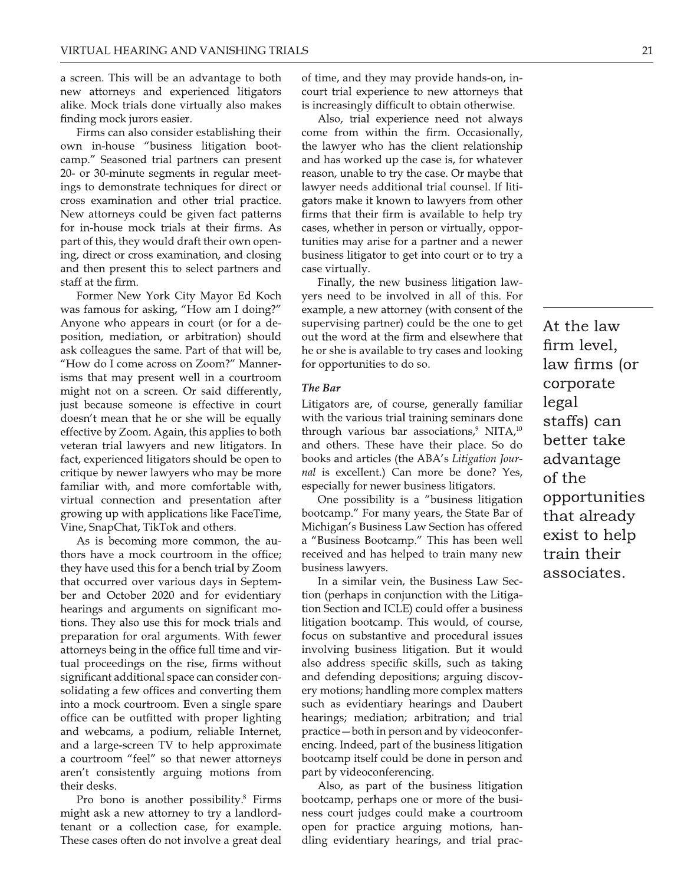alike. Mock trials done virtually also makes finding mock jurors easier.<br>Firms can also consider establishing their

VIRTUAL HEARING AND VANISHING TRIALS<br>
a screen. This will be an advantage to both of time<br>
new attorneys and experienced litigators court t<br>
alike. Mock trials done virtually also makes is incre<br>
finding mock jurors easier VIRTUAL HEARING AND VANISHING TRIALS<br>
a screen. This will be an advantage to both of time, and t<br>
new attorneys and experienced litigators court trial ex<br>
alike. Mock trials done virtually also makes is increasingly<br>
findi VIRTUAL HEARING AND VANISHING TRIALS<br>
a screen. This will be an advantage to both of ti<br>
new attorneys and experienced litigators coul<br>
alike. Mock trials done virtually also makes is in<br>
finding mock jurors easier.<br>
Firms VIRTUAL HEARING AND VANISHING TRIALS<br>
a screen. This will be an advantage to both of time<br>
mew attorneys and experienced litigators court<br>
alike. Mock trials done virtually also makes is increased<br>
finding mock jurors easi THEAKING AND VANDITING INALD<br>
a screen. This will be an advantage to both of time,<br>
new attorneys and experienced litigators court tr<br>
alike. Mock trials done virtually also makes is increa<br>
finding mock jurors easier. Als a screen. This will be an advantage to both of time, an ewait of the screen and experienced litigators court trial alike. Mock trials done virtually also makes is increasifinding mock jurors easier. Also, the move of the l a screen: This win be an advantage to both new attorneys and experienced litigators alike. Mock trials done virtually also makes finding mock jurors easier. Firms can also consider establishing their own in-house "business Hew autoritys and experienced ingators<br>
alike. Mock trais done virtually also makes is increasing<br>
finding mock jurors easier.<br>
Firms can also consider establishing their come from<br>
own in-house "business litigation boot-<br> finding mock jurors easier.<br>
Finns can solve vinding associates in the standary<br>
Finns can also consider establishing their<br>
own in-house "business litigation boot-<br>
the lawyer<br>
camp." Seasoned trial partners can present a for in-house mock trials at their firms. As part of this, they would draft their own open-This can also consider establishing then<br>own in-house "business litigation boot-<br>camp." Seasoned trial partners can present<br>20- or 30-minute segments in regular meet-<br>ings to demonstrate techniques for direct or<br>Cross exam bower in-notase business inigation boot-<br>camp." Seasoned trial partners can present and ha<br>20- or 30-minute segments in regular meet-<br>reason,<br>ings to demonstrate techniques for direct or lawyer<br>cross examination and other 20- or 30-minute signents air present and ias worked<br>20- or 30-minute signents in regular meet-<br>ings to demonstrate techniques for direct or lawyer needs cross examination and other trial practice. Seators make it<br>New atto staff at the firm.

Former New York City Mayor Ed Koch<br>was famous for asking, "How am I doing?" Example and other that practice. Bath New attorneys could be given fact patterns firms for this, they would draft their own open-<br>tuniting, direct or cross examination, and closing busin<br>and then present this to select pa For in-house mock trials at their farms. As cases, whether for in-house mock trials at their firms. As cases, where part of this, they would draft their own open-<br>ing, direct or cross examination, and closing business lit From the Hokk that at their minis. As<br>part of this, they would draft their own open-<br>tunit<br>ing, direct or cross examination, and closing busit<br>and then present this to select partners and case<br>staff at the firm.<br>Former New First of this, they would draft then own open-<br>
ing, direct or cross examination, and closing business<br>
and then present this to select partners and case virt<br>
staff at the firm. Final<br>
Former New York City Mayor Ed Koch y "How do I come across on Zoom?" Manner-<br>isms that may present well in a courtroom and the firm. this to seect partners and case v<br>staff at the firm.<br>Former New York City Mayor Ed Koch yers r<br>was famous for asking, "How am I doing?" examy<br>Anyone who appears in court (or for a de-<br>super<br>position, mediatio Former rew Tork City Mayor Ed Roch<br>was famous for asking, "How am I doing?"<br>Anyone who appears in court (or for a de-<br>position, mediation, or arbitration) should<br>ask colleagues the same. Part of that will be,<br>"How do I com Anyone who appears in court of or a de-<br>Anyone who appears in court (or for a de-<br>position, mediation, or arbitration) should out the word a<br>ask colleagues the same. Part of that will be, he or she is ave<br>"How do I come ac Extra trip alternation, or arbitration) should out ask colleagues the same. Part of that will be, "How do I come across on Zoom?" Manner-<br>
is "How do I come across on Zoom?" Manner-<br>
is that may present well in a courtroo possion, mediation, or anomizon shown of durine weak colleagues the same. Part of that will be, he or she i<br>
"How do I come across on Zoom?" Manner-<br>
is that may present well in a courtroom<br>
might not on a screen. Or said six colleagues the same. I and of that will be "How do I come across on Zoom?" Manner-<br>isms that may present well in a courtroom<br>might not on a screen. Or said differently,<br>just because someone is effective in court<br>doesn' Thow do Teome across of Zoom: Manuer-<br>
intervals that may present well in a courtroom<br>
might not on a screen. Or said differently,<br>
interval because someone is effective in court<br>
doesn't mean that he or she will be equall sins tiat may pesent wen in a courtbooth<br>might not on a screen. Or said differently,<br>its because someone is effective in court<br>doesn't mean that he or she will be equally with the<br>effective by Zoom. Again, this applies to flust hot oir a steeler. The same therefore, the same doesn't mean that he or she will be equally with the various effective by Zoom. Again, this applies to both through various veteran trial lawyers and new litigators. In ast because someone is enective in court. Engators<br>doesn't mean that he or she will be equally with the verteran trial lawyers and new litigators. In<br>veteran trial lawyers and new litigators. In<br>fact, experienced litigator desart mean that he or she will be equally<br>effective by Zoom. Again, this applies to both<br>veteran trial lawyers and new litigators. In<br>fact, experienced litigators should be open to<br>critique by newer lawyers who may be mor

Ective by Zooni. Again, this applies to both and others. The<br>eran trial lawyers and new litigators. In and others. The<br>ique by newer lawyers who may be more *nal* is excellent<br>in this are different and more confortable wit thors have a mock courtroom in the office;<br>they have used this for a bench trial by Zoom Fract, experienced ingators should be open to coolso and articlate by newer lawyers who may be more *nal* is excellent familiar with, and more comfortable with, especially for n virtual connection and presentation after On hearings and arguments on significant motions. They also use this for mock trials and From a product a race time, severally with a Vine StapChat, TikTok and others.<br>
Nichigan's Bus<br>
thors have a mock courtroom in the office; and "Business Be<br>
thors have a mock courtroom in the office; received and they have As is becoming more common, the authors have a mock courtroom in the office;<br>they have used this for a bench trial by Zoom<br>that occurred over various days in Septem-<br>ber and October 2020 and for evidentiary<br>hearings and ar attorneys being in the office full time and virtual proceedings on the rise, firms without significant additional space can consider consolidating a few offices and converting them into a mock courtroom. Even a single spare office can be outfitted with proper lighting<br>and webcams, a podium, reliable Internet, tions. They also use this for flock trans and integral<br>preparation for oral arguments. With fewer<br>attorneys being in the office full time and vir-<br>tual proceedings on the rise, firms without also<br>significant additional spa Preparation for oran arguments. While revival on the strategy in the office full time and virtual proceedings on the rise, firms without also address significant additional space can consider comes significant additional s Attail proceedings on the rise, firms and vin-<br>tual proceedings on the rise, firms without also add<br>significant additional space can consider con-<br>and defe-<br>solidating a few offices and converting them ery motic<br>into a moc tual proceedings of the rise, firms without<br>significant additional space can consider con-<br>solidating a few offices and converting them<br>into a mock courtroom. Even a single spare<br>office can be outfitted with proper lightin solidating a few offices and converting them<br>into a mock courtroom. Even a single spare<br>office can be outfitted with proper lighting<br>and webcams, a podium, reliable Internet,<br>and a large-screen TV to help approximate<br>a cou mo a mock courtioon. Even a single spare<br>office can be outfitted with proper lighting<br>hearings;<br>and webcams, a podium, reliable Internet, practice—<br>and a large-screen TV to help approximate encing. In<br>a courtroom "feel" so once can be outfited with proper fighting<br>and webcams, a podium, reliable Internet, practice—b<br>and a large-screen TV to help approximate encing. Inde<br>a courtroom "feel" so that newer attorneys bootcamp it<br>aren't consistent and webcants, a podium, renable internet, practice = both in<br>and a large-screen TV to help approximate encing. Indeed, p<br>a courtroom "feel" so that newer attorneys bootcamp itself c<br>aren't consistently arguing motions from

is increasingly difficult to obtain otherwise.<br>Also, trial experience need not always

SHING TRIALS<br>
ge to both of time, and they may provide hands-on, in-<br>
litigators court trial experience to new attorneys that<br>
lso makes is increasingly difficult to obtain otherwise.<br>
Also, trial experience need not alway SHING TRIALS<br>
ge to both of time, and they may provide hands-on, in-<br>
litigators court trial experience to new attorneys that<br>
lso makes is increasingly difficult to obtain otherwise.<br>
Also, trial experience need not alway NG TRIALS<br>
o both of time, and they may provide hands-on, in-<br>
court trial experience to new attorneys that<br>
makes is increasingly difficult to obtain otherwise.<br>
Also, trial experience need not always<br>
g their come from w come from within the firm. Occasionally, the lawyer who has the client relationship MISHING TRIALS<br>
Intage to both of time, and they may provide hands-on, in-<br>
red litigators court trial experience to new attorneys that<br>
ly also makes is increasingly difficult to obtain otherwise.<br>
Also, trial experience Example 1 Al-ALS<br>
advantage to both of time, and they may provide hands-on, in-<br>
reinced litigators court trial experience to new attorneys that<br>
rtually also makes is increasingly difficult to obtain otherwise.<br>
Also, tri Ivantage to both of time, and they may provide hands-on, in-<br>enced litigators court trial experience to new attorneys that<br>ally also makes is increasingly difficult to obtain otherwise.<br>Also, trial experience need not alwa Example to bound from the and any interpret bound trianged litigators<br>
increasingly difficult to obtain otherwise.<br>
Also, trial experience to new attorneys that<br>
trailly also makes<br>
is increasingly difficult to obtain othe Find and a sign section and experience to the analy also makes<br>
is increasingly difficult to obtain otherwise.<br>
Also, trial experience need not always<br>
establishing their<br>
come from within the firm. Occasionally,<br>
litigati firms that their firm is available to help try cases, whether in person or virtually, opporestablishing their<br>
come from within the firm. Occasionally,<br>
litigation boot-<br>
the lawyer who has the client relationship<br>
thers can present<br>
and has worked up the case is, for whatever<br>
in regular meet-<br>
reason, unable t m boot<br>present and has worked up the case is, for whatever<br>are meet-<br>and has worked up the case is, for whatever<br>are meet-<br>reason, unable to try the case is, for whatever<br>are meet-<br>reason, unable to try the case. Or maybe besome and has worked up the case is, for whatever<br>meet-<br>reason, unable to try the case is, for whatever<br>meet-<br>reason, unable to try the case. Or maybe that<br>ect or<br>lawyer needs additional trial counsel. If liti-<br>citice.<br>ga The star present and has worked up the case is, it in regular meet-<br>
in regular meet-<br>
reason, unable to try the case. O.<br>
ques for direct or lawyer needs additional trial co<br>
ner trial practice. Gators make it known to la Expandence transon, unable to divide and control and practice of the lawyer needs additional trial counsel. If liti-<br>ial practice gators make it known to lawyers from other<br>fact patterns firms that their firm is available

From Practice.<br>
The predictions have a react state with the dater firm is available to help try<br>
their firms. As cases, whether in person or virtually, oppor-<br>
their firms. As cases, whether in person or virtually, oppor-(The Samuel Comparison in the statement in the strategies in the cases, whether in person or virtually, oppor-<br>pen-<br>tunities may arise for a partner and a newer<br>business litigator to get into court or to try a<br>and<br>case vir out the word at the firm and elsewhere that<br>he or she is available to try cases and looking repertivally<br>
closing business litigator to get into court or to try a<br>
res and case virtually.<br>
Finally, the new business litigation law-<br>
1 Koch yers need to be involved in all of this. For<br>
loing?" example, a new attorn for opportunities to do so.

#### The Bar

Where the to be thrower in an interior of the amel doing?" example, a new attorney (with consent of the amel control of the sample, and the word at the firm and elsewhere that  $f$  f that will be, he or she is available to From a de-<br>
or a de-<br>
or should out the word at the firm and elsewhere that<br>
or should out the word at the firm and elsewhere that<br>
twill be, he or she is available to try cases and looking<br>
firm and the ward at the firm o or a de-<br>supervising partier) could be the one to get<br>should out the word at the firm and elsewhere that<br>will be, he or she is available to try cases and looking<br>farmer-<br>for opportunities to do so. I<br>a farmer-<br>farmery, The Furnation should be out the word at the firm and essewhere that<br>
Part of that will be, he or she is available to try cases and looking<br>
Part of that will be or she is available to try cases and looking<br>
Part of this appli The of site is available to try cases and looking<br>
1.<sup>27</sup> Manner-<br>
1.28 in courtroom<br>
1.28 in court Litigators are, of course, generally familiar<br>
1.1 be equally with the various trial training seminars done<br>
plies to both The Bar<br>
Litigators are, of course, generally familiar<br>
with the various trial training seminars done<br>
through various bar associations,<sup>9</sup> NITA,<sup>10</sup><br>
and others. These have their place. So do<br>
books and articles (the ABA' correased a countroom<br>
if differently, the Bar<br>
ive in court<br>
Il be equally with the various trial training seminars done<br>
plies to both through various bar associations,<sup>9</sup> NITA,<sup>10</sup><br>
iftigators. In and others. These have Litigators are, of course, generally familiar legal<br>with the various trial training seminars done<br>through various bar associations,<sup>9</sup> NITA,<sup>10</sup><br>and others. These have their place. So do **better ta**<br>books and articles (the We in Court Engaggious are, or course, generally and the various trail training seminars done staffs) can be equally with the various trial training seminars done staffs) can be litigators. In and others. These have their

Michigan's Business Law Section has offered<br>a "Business Bootcamp." This has been well

In a signing to book the didigators. These have their place. So do<br>
new litigators. In and others. These have their place. So do<br>
bett<br>
should be open to books and articles (the ABA's Litigation Jour-<br>
who may be more *nal* From the distribution of the team of the poen to books and articles (the ABA's Litigation Jour-<br> *r* be more *nal* is excellent.) Can more be done? Yes,<br>
ble with, especially for newer business litigation **opport**<br>
iaceTim In the Business litigators. The interest contained with the specially for newer business litigators. The specially for newer business litigation **opport** that all the specially for newer business litigation **opport** the Fa For write with the controllation of the controllation of that alread<br>
non after One possibility is a "business litigation **opportunit**<br>
aceTime, bootcamp." For many years, the State Bar of **that alread**<br>
Michigan's Busines tion Section and ICLE) could offer a business<br>litigation bootcamp. This would, of course, The FaceTime, Bootcamp. For many years, the state Bar of<br>thers. Michigan's Business Law Section has offered<br>a "Business Bootcamp." This has been well<br>to trial to the office; received and has helped to train many new<br>turn i Fincingari's business Law bection has oneed<br>au-<br>au-<br>a "Business Bootcamp." This has been well<br>received and has helped to train many new<br>train t<br>business lawyers.<br>The a similar vein, the Business Law Sec-<br>any<br>tion (perhaps a business bootcamp. This has been wen<br>received and has helped to train many new<br>business lawyers.<br>In a similar vein, the Business Law Sec-<br>tion (perhaps in conjunction with the Litiga-<br>tion Section and ICLE) could offer a also address specific skills, such as taking<br>and defending depositions; arguing discovas a and Secure of the Business Law Sec-<br>
stays in Septem-<br>
in a similar vein, the Business Law Sec-<br>
d for evidentiary<br>
in (perhaps in conjunction with the Litiga-<br>
on significant mo-<br>
tion Section and ICLE) could offer a transmitrion (perhaps in conjunction with the Litja-<br>tion (perhaps in conjunction with the Litja-<br>mo-<br>tion Section and ICLE) could offer a business<br>and litigation bootcamp. This would, of course,<br>ewer<br>focus on substantive evidentially<br>
entially unif (principlicant mo-<br>
tion Section and ICLE) could offer a business<br>
ck trials and<br>
Itigation bootcamp. This would, of course,<br>
With fewer<br>
focus on substantive and procedural issues<br>
time and vir signment ino<br>
mock trials and litigation bootcamp. This would, of course,<br>
mock trials and litigation bootcamp. This would, of course,<br>
cull time and vir-<br>
involving business litigation. But it would<br>
e, firms without also mock thas and magador bootcamp. The would, the meants. With fewer focus on substantive and procedural issues<br>inll time and vir-<br>involving business litigation. But it would<br>e, firms without also address specific skills, suc Frequency and positive and potecular ansets on substantive and defending business litigation. But it would also address specific skills, such as taking and defending depositions; arguing discovery motions; handling more co The and vil-<br>
irms without also address specific skills, such as taking<br>
consider con-<br>
and defending depositions; arguing discov-<br>
verting them ery motions; handling more complex matters<br>
single spare such as evidentiary Exam consider con-<br>
and defending depositions;<br>
converting them<br>
and defending depositions;<br>
en a single spare<br>
up approximate<br>
reliable Internet,<br>
practice—both in person and<br>
enever attorneys<br>
bootcamp itself could be do near constraint defining meropositions; handling more complex matters ing the erase such as evidentiary hearings and Daubert lighting hearings; mediation; arbitration; and trial Internet, practice — both in person and by v Verting them the explored is a sevidentiary hearings and Daubert<br>
single spare such as evidentiary hearings and Daubert<br>
hearings; mediation; arbitration; and trial<br>
practice—both in person and by videoconfer-<br>
approximate spare<br>
such as evidentialy hearings and Daduert<br>
hting<br>
hearings; mediation; arbitration; and trial<br>
practice—both in person and by videoconfer-<br>
encing. Indeed, part of the business litigation<br>
from<br>
part by videoconferen

Fractice – both in person and by videocontri-<br>
anate encing. Indeed, part of the business litigation<br>
rom part by videoconferencing.<br>
Also, as part of the business litigation<br>
rms bootcamp, perhaps one or more of the busi-

At the law firm level, law firms (or in.<br>Si corporate legal staiis) can better take advantage of the opportunities that already exist to help train their associates.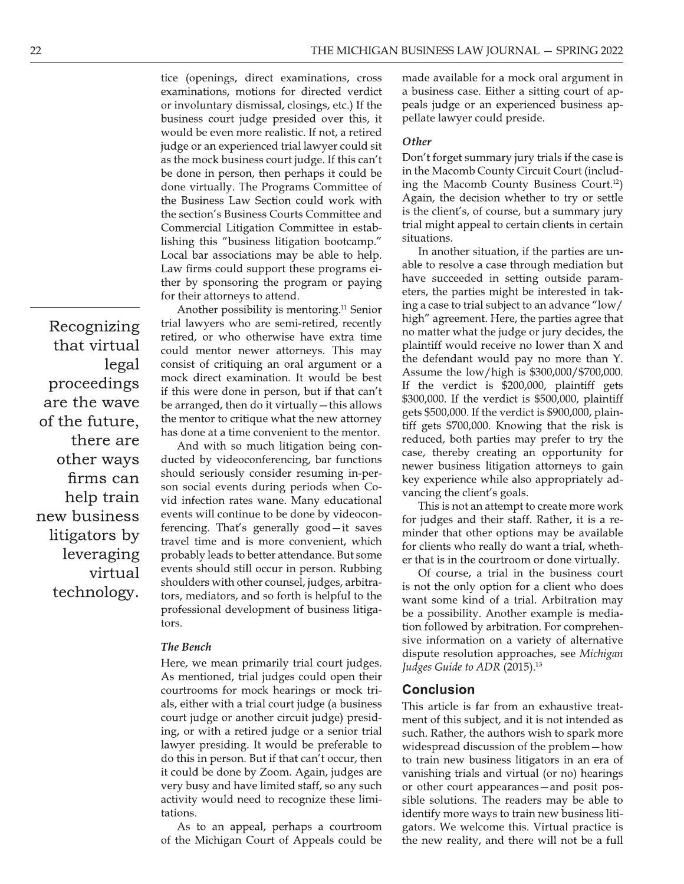tice (openings, direct examinations, cross examinations, motions for directed verdict or involuntary dismissal, closings, etc.) If the business court judge presided over this, it would be even more realistic. If not, a retired judge or an experienced trial lawyer could sit as the mock business court judge. If this can't be done in person, then perhaps it could be done virtually. The Programs Committee of the Business Law Section could work with the section's Business Courts Committee and Commercial Litigation Committee in establishing this "business litigation bootcamp." Local bar associations may be able to help. Law firms could support these programs either by sponsoring the program or paying for their attorneys to attend.

Another possibility is mentoring.<sup>11</sup> Senior trial lawyers who are semi-retired, recently retired, or who otherwise have extra time could mentor newer attorneys. This may consist of critiquing an oral argument or a mock direct examination. It would be best if this were done in person, but if that can't be arranged, then do it virtually - this allows the mentor to critique what the new attorney has done at a time convenient to the mentor.

And with so much litigation being conducted by videoconferencing, bar functions should seriously consider resuming in-person social events during periods when Covid infection rates wane. Many educational events will continue to be done by videoconferencing. That's generally good-it saves travel time and is more convenient, which probably leads to better attendance. But some events should still occur in person. Rubbing shoulders with other counsel, judges, arbitrators, mediators, and so forth is helpful to the professional development of business litigators.

## **The Bench**

Here, we mean primarily trial court judges. As mentioned, trial judges could open their courtrooms for mock hearings or mock trials, either with a trial court judge (a business court judge or another circuit judge) presiding, or with a retired judge or a senior trial lawyer presiding. It would be preferable to do this in person. But if that can't occur, then it could be done by Zoom. Again, judges are very busy and have limited staff, so any such activity would need to recognize these limitations.

As to an appeal, perhaps a courtroom of the Michigan Court of Appeals could be

made available for a mock oral argument in a business case. Either a sitting court of appeals judge or an experienced business appellate lawyer could preside.

### Other

Don't forget summary jury trials if the case is in the Macomb County Circuit Court (including the Macomb County Business Court.<sup>12</sup>) Again, the decision whether to try or settle is the client's, of course, but a summary jury trial might appeal to certain clients in certain situations.

In another situation, if the parties are unable to resolve a case through mediation but have succeeded in setting outside parameters, the parties might be interested in taking a case to trial subject to an advance "low/ high" agreement. Here, the parties agree that no matter what the judge or jury decides, the plaintiff would receive no lower than X and the defendant would pay no more than Y. Assume the low/high is \$300,000/\$700,000. If the verdict is \$200,000, plaintiff gets \$300,000. If the verdict is \$500,000, plaintiff gets \$500,000. If the verdict is \$900,000, plaintiff gets \$700,000. Knowing that the risk is reduced, both parties may prefer to try the case, thereby creating an opportunity for newer business litigation attorneys to gain key experience while also appropriately advancing the client's goals.

This is not an attempt to create more work for judges and their staff. Rather, it is a reminder that other options may be available for clients who really do want a trial, whether that is in the courtroom or done virtually.

Of course, a trial in the business court is not the only option for a client who does want some kind of a trial. Arbitration may be a possibility. Another example is mediation followed by arbitration. For comprehensive information on a variety of alternative dispute resolution approaches, see Michigan Judges Guide to ADR (2015).<sup>13</sup>

#### **Conclusion**

This article is far from an exhaustive treatment of this subject, and it is not intended as such. Rather, the authors wish to spark more widespread discussion of the problem-how to train new business litigators in an era of vanishing trials and virtual (or no) hearings or other court appearances - and posit possible solutions. The readers may be able to identify more ways to train new business litigators. We welcome this. Virtual practice is the new reality, and there will not be a full

Recognizing that virtual legal proceedings are the wave of the future, there are other ways firms can help train new business litigators by leveraging virtual technology.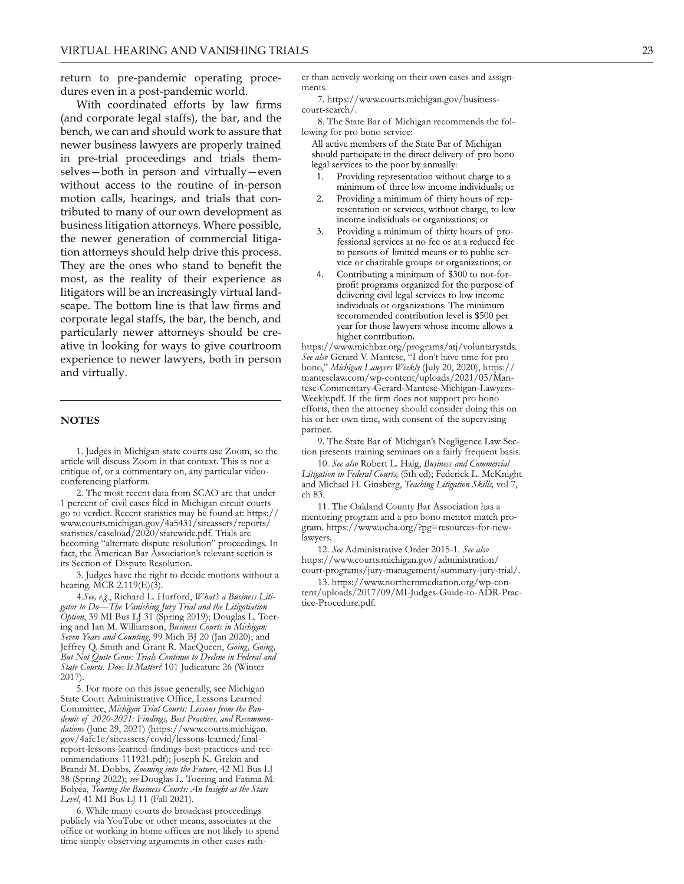return to pre-pandemic operating procedures even in a post-pandemic world.

With coordinated efforts by law firms (and corporate legal staffs), the bar, and the bench, we can and should work to assure that newer business lawyers are properly trained in pre-trial proceedings and trials themselves-both in person and virtually-even without access to the routine of in-person motion calls, hearings, and trials that contributed to many of our own development as business litigation attorneys. Where possible, the newer generation of commercial litigation attorneys should help drive this process. They are the ones who stand to benefit the most, as the reality of their experience as litigators will be an increasingly virtual landscape. The bottom line is that law firms and corporate legal staffs, the bar, the bench, and particularly newer attorneys should be creative in looking for ways to give courtroom experience to newer lawyers, both in person and virtually.

#### **NOTES**

1. Judges in Michigan state courts use Zoom, so the article will discuss Zoom in that context. This is not a critique of, or a commentary on, any particular videoconferencing platform.

2. The most recent data from SCAO are that under 1 percent of civil cases filed in Michigan circuit courts go to verdict. Recent statistics may be found at: https:// www.courts.michigan.gov/4a5431/siteassets/reports/ statistics/caseload/2020/statewide.pdf. Trials are becoming "alternate dispute resolution" proceedings. In fact, the American Bar Association's relevant section is its Section of Dispute Resolution.

3. Judges have the right to decide motions without a hearing. MCR  $2.119(E)(3)$ .

4.See, e.g., Richard L. Hurford, What's a Business Litigator to Do-The Vanishing Jury Trial and the Litigotiation Option, 39 MI Bus LJ 31 (Spring 2019); Douglas L. Toering and Ian M. Williamson, Business Courts in Michigan: Seven Years and Counting, 99 Mich BJ 20 (Jan 2020); and Jeffrey Q. Smith and Grant R. MacQueen, Going, Going, But Not Quite Gone: Trials Continue to Decline in Federal and State Courts. Does It Matter? 101 Judicature 26 (Winter  $2017$ ).

5. For more on this issue generally, see Michigan State Court Administrative Office, Lessons Learned Committee, Michigan Trial Courts: Lessons from the Pandemic of 2020-2021: Findings, Best Practices, and Recommendations (June 29, 2021) (https://www.courts.michigan. gov/4afc1e/siteassets/covid/lessons-learned/finaleport-lessons-learned-findings-best-practices-and-rec-<br>ommendations-111921.pdf); Joseph K. Grekin and Brandi M. Dobbs, Zooming into the Future, 42 MI Bus LJ 38 (Spring 2022); see Douglas L. Toering and Fatima M. Bolyea, Touring the Business Courts: An Insight at the State Level, 41 MI Bus LJ 11 (Fall 2021).

6. While many courts do broadcast proceedings publicly via YouTube or other means, associates at the office or working in home offices are not likely to spend time simply observing arguments in other cases rather than actively working on their own cases and assignments

7. https://www.courts.michigan.gov/businesscourt-search/.

8. The State Bar of Michigan recommends the following for pro bono service:

All active members of the State Bar of Michigan should participate in the direct delivery of pro bono legal services to the poor by annually:

- Providing representation without charge to a minimum of three low income individuals; or
- Providing a minimum of thirty hours of rep-2. resentation or services, without charge, to low income individuals or organizations; or
- Providing a minimum of thirty hours of pro- $3<sub>1</sub>$ fessional services at no fee or at a reduced fee to persons of limited means or to public service or charitable groups or organizations; or
- Contributing a minimum of \$300 to not-forprofit programs organized for the purpose of delivering civil legal services to low income individuals or organizations. The minimum recommended contribution level is \$500 per year for those lawyers whose income allows a higher contribution.

https://www.michbar.org/programs/atj/voluntarystds. See also Gerard V. Mantese, "I don't have time for pro bono," Michigan Lawyers Weekly (July 20, 2020), https:// manteselaw.com/wp-content/uploads/2021/05/Mantese-Commentary-Gerard-Mantese-Michigan-Lawyers-Weekly.pdf. If the firm does not support pro bono efforts, then the attorney should consider doing this on his or her own time, with consent of the supervising partner.

9. The State Bar of Michigan's Negligence Law Section presents training seminars on a fairly frequent basis.

10. See also Robert L. Haig, Business and Commercial Litigation in Federal Courts, (5th ed); Federick L. McKnight and Michael H. Ginsberg, Teaching Litigation Skills, vol 7, ch 83.

11. The Oakland County Bar Association has a mentoring program and a pro bono mentor match program. https://www.ocba.org/?pg=resources-for-newlawyers.

12. See Administrative Order 2015-1. See also https://www.courts.michigan.gov/administration/ court-programs/jury-management/summary-jury-trial/.

13. https://www.northernmediation.org/wp-content/uploads/2017/09/MI-Judges-Guide-to-ADR-Practice-Procedure.pdf.